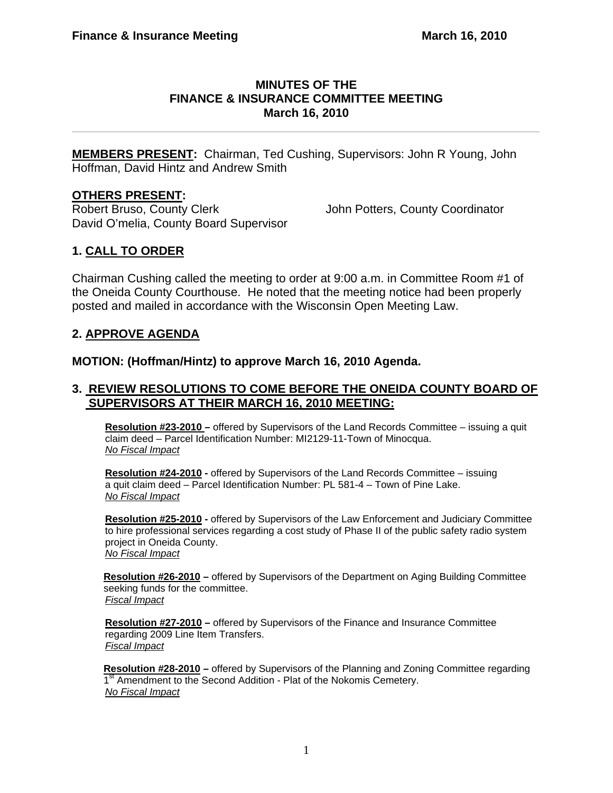### **MINUTES OF THE FINANCE & INSURANCE COMMITTEE MEETING March 16, 2010**

**\_\_\_\_\_\_\_\_\_\_\_\_\_\_\_\_\_\_\_\_\_\_\_\_\_\_\_\_\_\_\_\_\_\_\_\_\_\_\_\_\_\_\_\_\_\_\_\_\_\_\_\_\_\_\_\_\_\_\_\_\_\_\_\_\_\_\_\_\_\_** 

**MEMBERS PRESENT:** Chairman, Ted Cushing, Supervisors: John R Young, John Hoffman, David Hintz and Andrew Smith

## **OTHERS PRESENT:**

Robert Bruso, County Clerk John Potters, County Coordinator David O'melia, County Board Supervisor

# **1. CALL TO ORDER**

Chairman Cushing called the meeting to order at 9:00 a.m. in Committee Room #1 of the Oneida County Courthouse. He noted that the meeting notice had been properly posted and mailed in accordance with the Wisconsin Open Meeting Law.

## **2. APPROVE AGENDA**

**MOTION: (Hoffman/Hintz) to approve March 16, 2010 Agenda.** 

### **3. REVIEW RESOLUTIONS TO COME BEFORE THE ONEIDA COUNTY BOARD OF SUPERVISORS AT THEIR MARCH 16, 2010 MEETING:**

**Resolution #23-2010 –** offered by Supervisors of the Land Records Committee – issuing a quit claim deed – Parcel Identification Number: MI2129-11-Town of Minocqua. *No Fiscal Impact*

**Resolution #24-2010 -** offered by Supervisors of the Land Records Committee – issuing a quit claim deed – Parcel Identification Number: PL 581-4 – Town of Pine Lake. *No Fiscal Impact*

**Resolution #25-2010 -** offered by Supervisors of the Law Enforcement and Judiciary Committee to hire professional services regarding a cost study of Phase II of the public safety radio system project in Oneida County. *No Fiscal Impact*

**Resolution #26-2010 –** offered by Supervisors of the Department on Aging Building Committee seeking funds for the committee. *Fiscal Impact*

**Resolution #27-2010 –** offered by Supervisors of the Finance and Insurance Committee regarding 2009 Line Item Transfers. *Fiscal Impact*

**Resolution #28-2010 –** offered by Supervisors of the Planning and Zoning Committee regarding 1<sup>st</sup> Amendment to the Second Addition - Plat of the Nokomis Cemetery. *No Fiscal Impact*